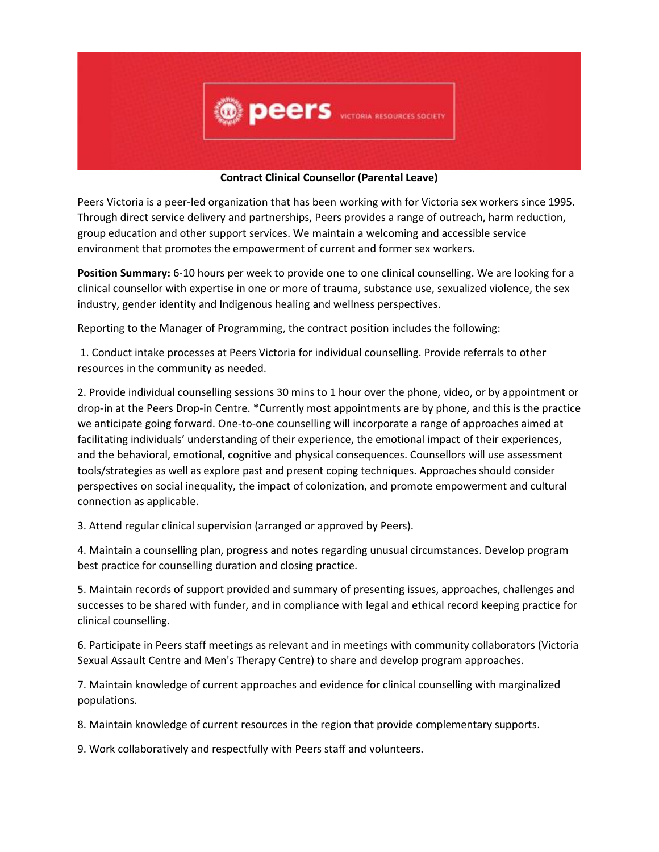

**Contract Clinical Counsellor (Parental Leave)**

Peers Victoria is a peer-led organization that has been working with for Victoria sex workers since 1995. Through direct service delivery and partnerships, Peers provides a range of outreach, harm reduction, group education and other support services. We maintain a welcoming and accessible service environment that promotes the empowerment of current and former sex workers.

**Position Summary:** 6-10 hours per week to provide one to one clinical counselling. We are looking for a clinical counsellor with expertise in one or more of trauma, substance use, sexualized violence, the sex industry, gender identity and Indigenous healing and wellness perspectives.

Reporting to the Manager of Programming, the contract position includes the following:

1. Conduct intake processes at Peers Victoria for individual counselling. Provide referrals to other resources in the community as needed.

2. Provide individual counselling sessions 30 mins to 1 hour over the phone, video, or by appointment or drop-in at the Peers Drop-in Centre. \*Currently most appointments are by phone, and this is the practice we anticipate going forward. One-to-one counselling will incorporate a range of approaches aimed at facilitating individuals' understanding of their experience, the emotional impact of their experiences, and the behavioral, emotional, cognitive and physical consequences. Counsellors will use assessment tools/strategies as well as explore past and present coping techniques. Approaches should consider perspectives on social inequality, the impact of colonization, and promote empowerment and cultural connection as applicable.

3. Attend regular clinical supervision (arranged or approved by Peers).

4. Maintain a counselling plan, progress and notes regarding unusual circumstances. Develop program best practice for counselling duration and closing practice.

5. Maintain records of support provided and summary of presenting issues, approaches, challenges and successes to be shared with funder, and in compliance with legal and ethical record keeping practice for clinical counselling.

6. Participate in Peers staff meetings as relevant and in meetings with community collaborators (Victoria Sexual Assault Centre and Men's Therapy Centre) to share and develop program approaches.

7. Maintain knowledge of current approaches and evidence for clinical counselling with marginalized populations.

8. Maintain knowledge of current resources in the region that provide complementary supports.

9. Work collaboratively and respectfully with Peers staff and volunteers.